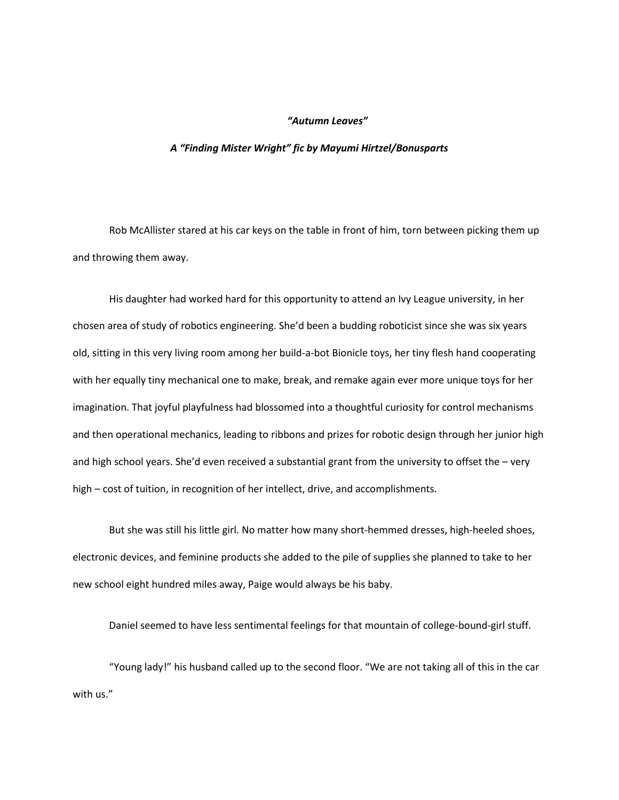## *"Autumn Leaves"*

## *A "Finding Mister Wright" fic by Mayumi Hirtzel/Bonusparts*

Rob McAllister stared at his car keys on the table in front of him, torn between picking them up and throwing them away.

His daughter had worked hard for this opportunity to attend an Ivy League university, in her chosen area of study of robotics engineering. She'd been a budding roboticist since she was six years old, sitting in this very living room among her build-a-bot Bionicle toys, her tiny flesh hand cooperating with her equally tiny mechanical one to make, break, and remake again ever more unique toys for her imagination. That joyful playfulness had blossomed into a thoughtful curiosity for control mechanisms and then operational mechanics, leading to ribbons and prizes for robotic design through her junior high and high school years. She'd even received a substantial grant from the university to offset the – very high – cost of tuition, in recognition of her intellect, drive, and accomplishments.

But she was still his little girl. No matter how many short-hemmed dresses, high-heeled shoes, electronic devices, and feminine products she added to the pile of supplies she planned to take to her new school eight hundred miles away, Paige would always be his baby.

Daniel seemed to have less sentimental feelings for that mountain of college-bound-girl stuff.

"Young lady!" his husband called up to the second floor. "We are not taking all of this in the car with us."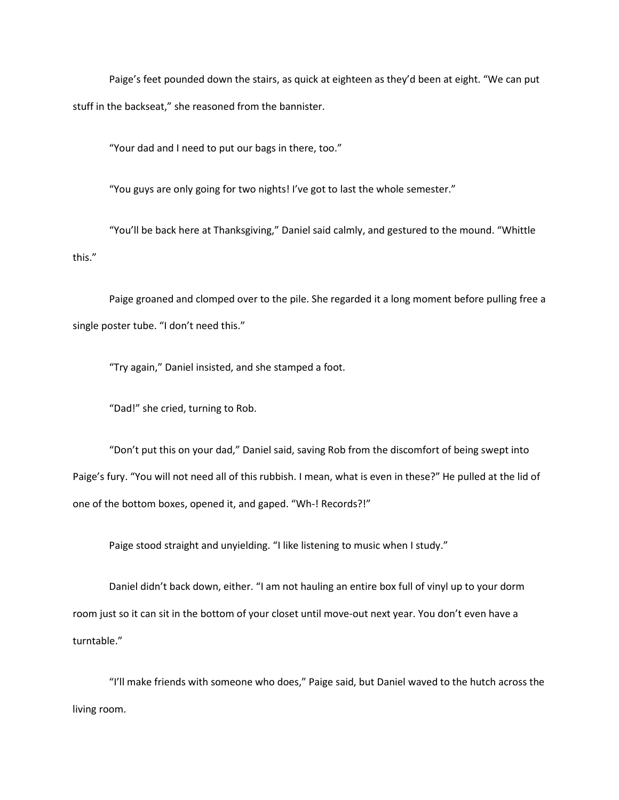Paige's feet pounded down the stairs, as quick at eighteen as they'd been at eight. "We can put stuff in the backseat," she reasoned from the bannister.

"Your dad and I need to put our bags in there, too."

"You guys are only going for two nights! I've got to last the whole semester."

"You'll be back here at Thanksgiving," Daniel said calmly, and gestured to the mound. "Whittle this."

Paige groaned and clomped over to the pile. She regarded it a long moment before pulling free a single poster tube. "I don't need this."

"Try again," Daniel insisted, and she stamped a foot.

"Dad!" she cried, turning to Rob.

"Don't put this on your dad," Daniel said, saving Rob from the discomfort of being swept into Paige's fury. "You will not need all of this rubbish. I mean, what is even in these?" He pulled at the lid of one of the bottom boxes, opened it, and gaped. "Wh-! Records?!"

Paige stood straight and unyielding. "I like listening to music when I study."

Daniel didn't back down, either. "I am not hauling an entire box full of vinyl up to your dorm room just so it can sit in the bottom of your closet until move-out next year. You don't even have a turntable."

"I'll make friends with someone who does," Paige said, but Daniel waved to the hutch across the living room.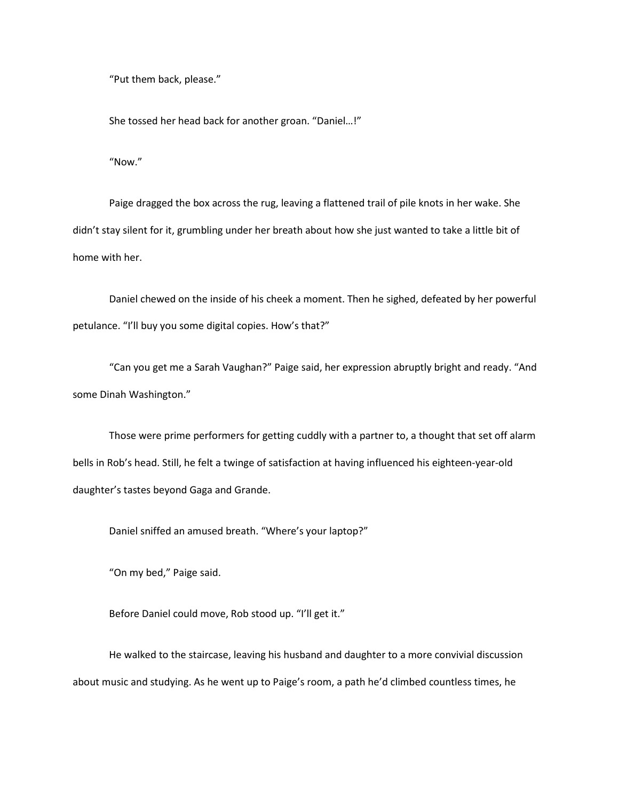"Put them back, please."

She tossed her head back for another groan. "Daniel…!"

"Now."

Paige dragged the box across the rug, leaving a flattened trail of pile knots in her wake. She didn't stay silent for it, grumbling under her breath about how she just wanted to take a little bit of home with her.

Daniel chewed on the inside of his cheek a moment. Then he sighed, defeated by her powerful petulance. "I'll buy you some digital copies. How's that?"

"Can you get me a Sarah Vaughan?" Paige said, her expression abruptly bright and ready. "And some Dinah Washington."

Those were prime performers for getting cuddly with a partner to, a thought that set off alarm bells in Rob's head. Still, he felt a twinge of satisfaction at having influenced his eighteen-year-old daughter's tastes beyond Gaga and Grande.

Daniel sniffed an amused breath. "Where's your laptop?"

"On my bed," Paige said.

Before Daniel could move, Rob stood up. "I'll get it."

He walked to the staircase, leaving his husband and daughter to a more convivial discussion about music and studying. As he went up to Paige's room, a path he'd climbed countless times, he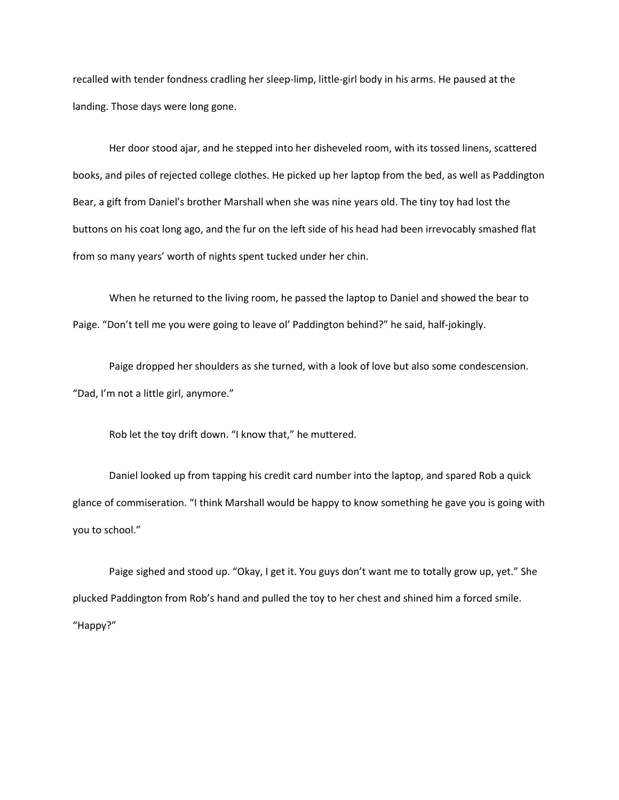recalled with tender fondness cradling her sleep-limp, little-girl body in his arms. He paused at the landing. Those days were long gone.

Her door stood ajar, and he stepped into her disheveled room, with its tossed linens, scattered books, and piles of rejected college clothes. He picked up her laptop from the bed, as well as Paddington Bear, a gift from Daniel's brother Marshall when she was nine years old. The tiny toy had lost the buttons on his coat long ago, and the fur on the left side of his head had been irrevocably smashed flat from so many years' worth of nights spent tucked under her chin.

When he returned to the living room, he passed the laptop to Daniel and showed the bear to Paige. "Don't tell me you were going to leave ol' Paddington behind?" he said, half-jokingly.

Paige dropped her shoulders as she turned, with a look of love but also some condescension. "Dad, I'm not a little girl, anymore."

Rob let the toy drift down. "I know that," he muttered.

Daniel looked up from tapping his credit card number into the laptop, and spared Rob a quick glance of commiseration. "I think Marshall would be happy to know something he gave you is going with you to school."

Paige sighed and stood up. "Okay, I get it. You guys don't want me to totally grow up, yet." She plucked Paddington from Rob's hand and pulled the toy to her chest and shined him a forced smile. "Happy?"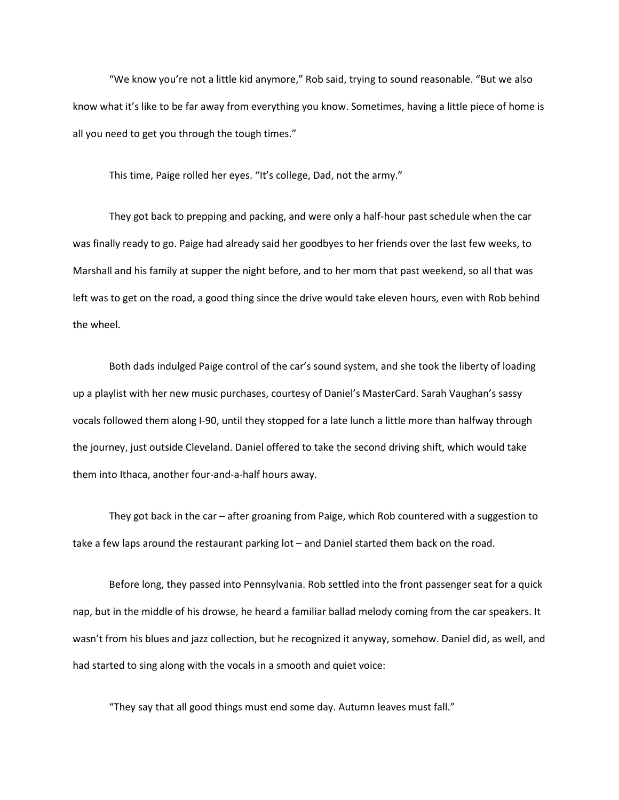"We know you're not a little kid anymore," Rob said, trying to sound reasonable. "But we also know what it's like to be far away from everything you know. Sometimes, having a little piece of home is all you need to get you through the tough times."

This time, Paige rolled her eyes. "It's college, Dad, not the army."

They got back to prepping and packing, and were only a half-hour past schedule when the car was finally ready to go. Paige had already said her goodbyes to her friends over the last few weeks, to Marshall and his family at supper the night before, and to her mom that past weekend, so all that was left was to get on the road, a good thing since the drive would take eleven hours, even with Rob behind the wheel.

Both dads indulged Paige control of the car's sound system, and she took the liberty of loading up a playlist with her new music purchases, courtesy of Daniel's MasterCard. Sarah Vaughan's sassy vocals followed them along I-90, until they stopped for a late lunch a little more than halfway through the journey, just outside Cleveland. Daniel offered to take the second driving shift, which would take them into Ithaca, another four-and-a-half hours away.

They got back in the car – after groaning from Paige, which Rob countered with a suggestion to take a few laps around the restaurant parking lot – and Daniel started them back on the road.

Before long, they passed into Pennsylvania. Rob settled into the front passenger seat for a quick nap, but in the middle of his drowse, he heard a familiar ballad melody coming from the car speakers. It wasn't from his blues and jazz collection, but he recognized it anyway, somehow. Daniel did, as well, and had started to sing along with the vocals in a smooth and quiet voice:

"They say that all good things must end some day. Autumn leaves must fall."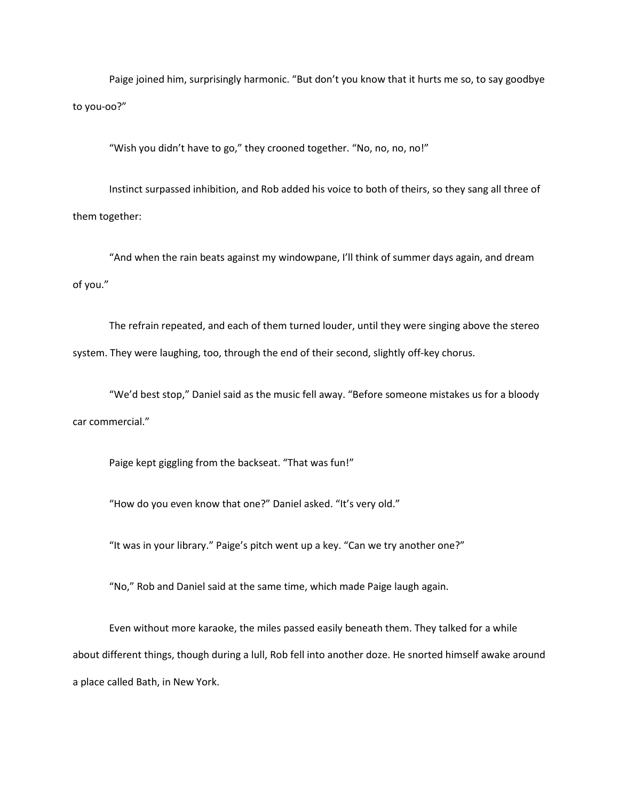Paige joined him, surprisingly harmonic. "But don't you know that it hurts me so, to say goodbye to you-oo?"

"Wish you didn't have to go," they crooned together. "No, no, no, no!"

Instinct surpassed inhibition, and Rob added his voice to both of theirs, so they sang all three of them together:

"And when the rain beats against my windowpane, I'll think of summer days again, and dream of you."

The refrain repeated, and each of them turned louder, until they were singing above the stereo system. They were laughing, too, through the end of their second, slightly off-key chorus.

"We'd best stop," Daniel said as the music fell away. "Before someone mistakes us for a bloody car commercial."

Paige kept giggling from the backseat. "That was fun!"

"How do you even know that one?" Daniel asked. "It's very old."

"It was in your library." Paige's pitch went up a key. "Can we try another one?"

"No," Rob and Daniel said at the same time, which made Paige laugh again.

Even without more karaoke, the miles passed easily beneath them. They talked for a while about different things, though during a lull, Rob fell into another doze. He snorted himself awake around a place called Bath, in New York.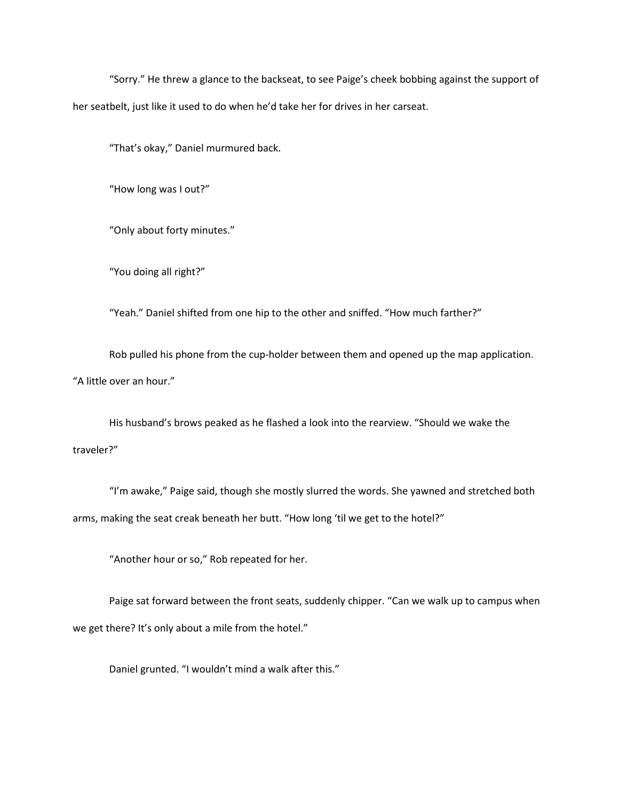"Sorry." He threw a glance to the backseat, to see Paige's cheek bobbing against the support of her seatbelt, just like it used to do when he'd take her for drives in her carseat.

"That's okay," Daniel murmured back.

"How long was I out?"

"Only about forty minutes."

"You doing all right?"

"Yeah." Daniel shifted from one hip to the other and sniffed. "How much farther?"

Rob pulled his phone from the cup-holder between them and opened up the map application. "A little over an hour."

His husband's brows peaked as he flashed a look into the rearview. "Should we wake the traveler?"

"I'm awake," Paige said, though she mostly slurred the words. She yawned and stretched both arms, making the seat creak beneath her butt. "How long 'til we get to the hotel?"

"Another hour or so," Rob repeated for her.

Paige sat forward between the front seats, suddenly chipper. "Can we walk up to campus when we get there? It's only about a mile from the hotel."

Daniel grunted. "I wouldn't mind a walk after this."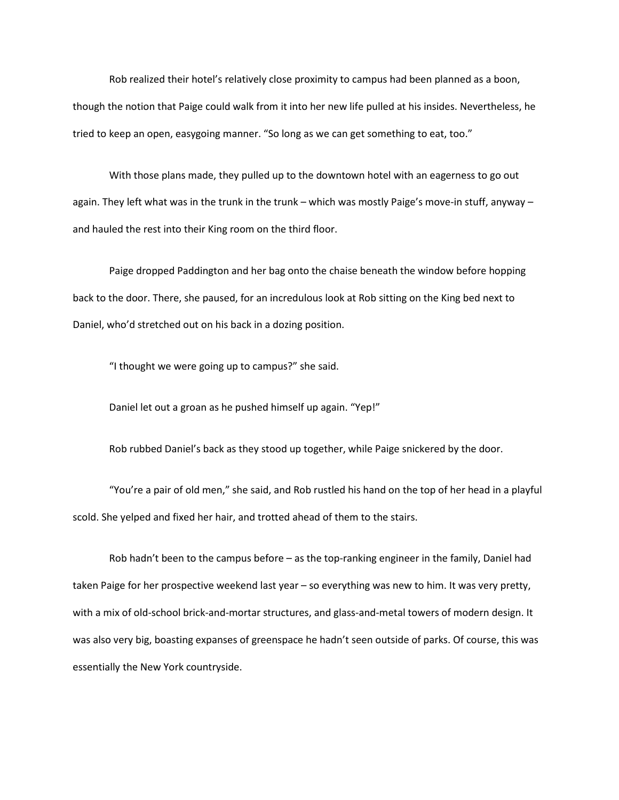Rob realized their hotel's relatively close proximity to campus had been planned as a boon, though the notion that Paige could walk from it into her new life pulled at his insides. Nevertheless, he tried to keep an open, easygoing manner. "So long as we can get something to eat, too."

With those plans made, they pulled up to the downtown hotel with an eagerness to go out again. They left what was in the trunk in the trunk – which was mostly Paige's move-in stuff, anyway – and hauled the rest into their King room on the third floor.

Paige dropped Paddington and her bag onto the chaise beneath the window before hopping back to the door. There, she paused, for an incredulous look at Rob sitting on the King bed next to Daniel, who'd stretched out on his back in a dozing position.

"I thought we were going up to campus?" she said.

Daniel let out a groan as he pushed himself up again. "Yep!"

Rob rubbed Daniel's back as they stood up together, while Paige snickered by the door.

"You're a pair of old men," she said, and Rob rustled his hand on the top of her head in a playful scold. She yelped and fixed her hair, and trotted ahead of them to the stairs.

Rob hadn't been to the campus before – as the top-ranking engineer in the family, Daniel had taken Paige for her prospective weekend last year – so everything was new to him. It was very pretty, with a mix of old-school brick-and-mortar structures, and glass-and-metal towers of modern design. It was also very big, boasting expanses of greenspace he hadn't seen outside of parks. Of course, this was essentially the New York countryside.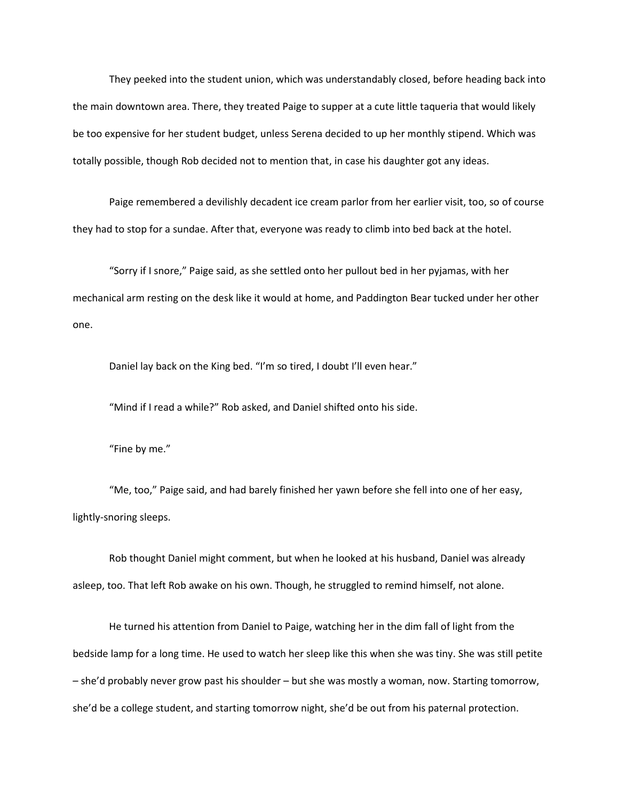They peeked into the student union, which was understandably closed, before heading back into the main downtown area. There, they treated Paige to supper at a cute little taqueria that would likely be too expensive for her student budget, unless Serena decided to up her monthly stipend. Which was totally possible, though Rob decided not to mention that, in case his daughter got any ideas.

Paige remembered a devilishly decadent ice cream parlor from her earlier visit, too, so of course they had to stop for a sundae. After that, everyone was ready to climb into bed back at the hotel.

"Sorry if I snore," Paige said, as she settled onto her pullout bed in her pyjamas, with her mechanical arm resting on the desk like it would at home, and Paddington Bear tucked under her other one.

Daniel lay back on the King bed. "I'm so tired, I doubt I'll even hear."

"Mind if I read a while?" Rob asked, and Daniel shifted onto his side.

"Fine by me."

"Me, too," Paige said, and had barely finished her yawn before she fell into one of her easy, lightly-snoring sleeps.

Rob thought Daniel might comment, but when he looked at his husband, Daniel was already asleep, too. That left Rob awake on his own. Though, he struggled to remind himself, not alone.

He turned his attention from Daniel to Paige, watching her in the dim fall of light from the bedside lamp for a long time. He used to watch her sleep like this when she was tiny. She was still petite – she'd probably never grow past his shoulder – but she was mostly a woman, now. Starting tomorrow, she'd be a college student, and starting tomorrow night, she'd be out from his paternal protection.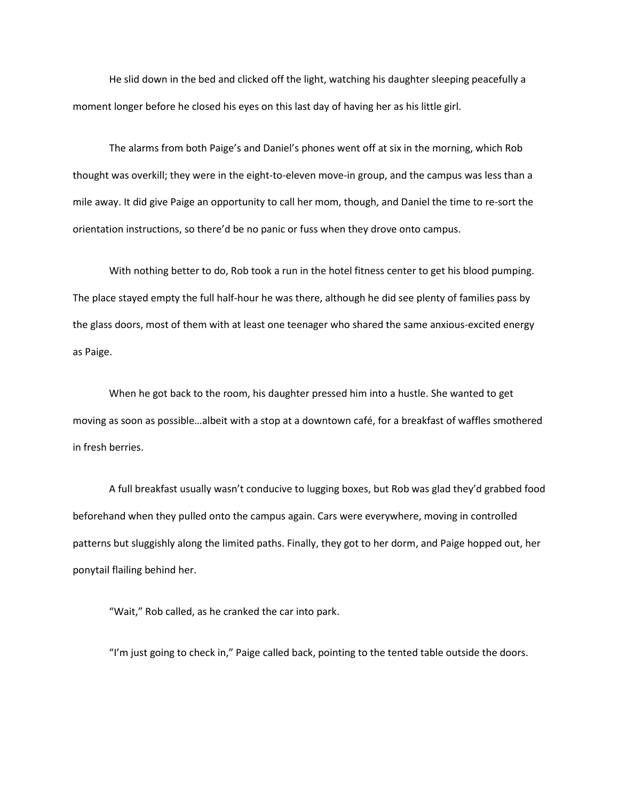He slid down in the bed and clicked off the light, watching his daughter sleeping peacefully a moment longer before he closed his eyes on this last day of having her as his little girl.

The alarms from both Paige's and Daniel's phones went off at six in the morning, which Rob thought was overkill; they were in the eight-to-eleven move-in group, and the campus was less than a mile away. It did give Paige an opportunity to call her mom, though, and Daniel the time to re-sort the orientation instructions, so there'd be no panic or fuss when they drove onto campus.

With nothing better to do, Rob took a run in the hotel fitness center to get his blood pumping. The place stayed empty the full half-hour he was there, although he did see plenty of families pass by the glass doors, most of them with at least one teenager who shared the same anxious-excited energy as Paige.

When he got back to the room, his daughter pressed him into a hustle. She wanted to get moving as soon as possible…albeit with a stop at a downtown café, for a breakfast of waffles smothered in fresh berries.

A full breakfast usually wasn't conducive to lugging boxes, but Rob was glad they'd grabbed food beforehand when they pulled onto the campus again. Cars were everywhere, moving in controlled patterns but sluggishly along the limited paths. Finally, they got to her dorm, and Paige hopped out, her ponytail flailing behind her.

"Wait," Rob called, as he cranked the car into park.

"I'm just going to check in," Paige called back, pointing to the tented table outside the doors.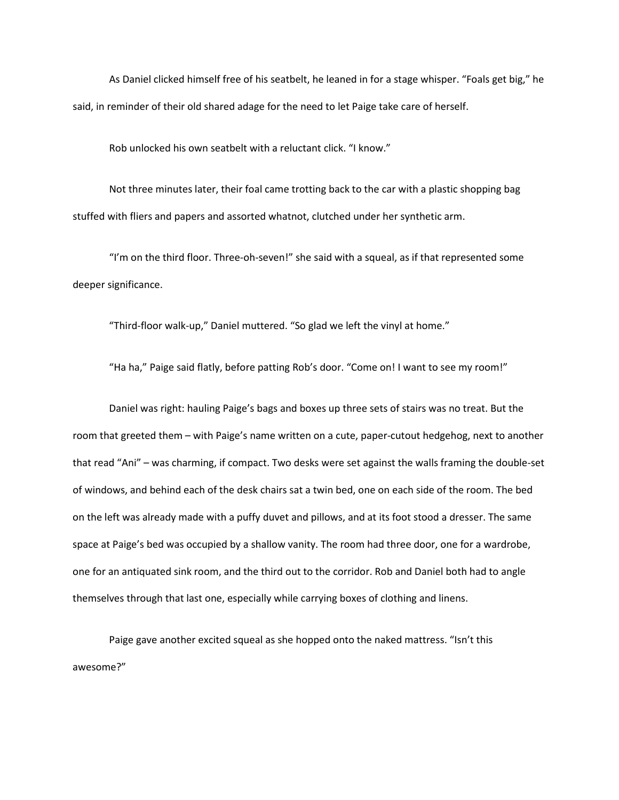As Daniel clicked himself free of his seatbelt, he leaned in for a stage whisper. "Foals get big," he said, in reminder of their old shared adage for the need to let Paige take care of herself.

Rob unlocked his own seatbelt with a reluctant click. "I know."

Not three minutes later, their foal came trotting back to the car with a plastic shopping bag stuffed with fliers and papers and assorted whatnot, clutched under her synthetic arm.

"I'm on the third floor. Three-oh-seven!" she said with a squeal, as if that represented some deeper significance.

"Third-floor walk-up," Daniel muttered. "So glad we left the vinyl at home."

"Ha ha," Paige said flatly, before patting Rob's door. "Come on! I want to see my room!"

Daniel was right: hauling Paige's bags and boxes up three sets of stairs was no treat. But the room that greeted them – with Paige's name written on a cute, paper-cutout hedgehog, next to another that read "Ani" – was charming, if compact. Two desks were set against the walls framing the double-set of windows, and behind each of the desk chairs sat a twin bed, one on each side of the room. The bed on the left was already made with a puffy duvet and pillows, and at its foot stood a dresser. The same space at Paige's bed was occupied by a shallow vanity. The room had three door, one for a wardrobe, one for an antiquated sink room, and the third out to the corridor. Rob and Daniel both had to angle themselves through that last one, especially while carrying boxes of clothing and linens.

Paige gave another excited squeal as she hopped onto the naked mattress. "Isn't this awesome?"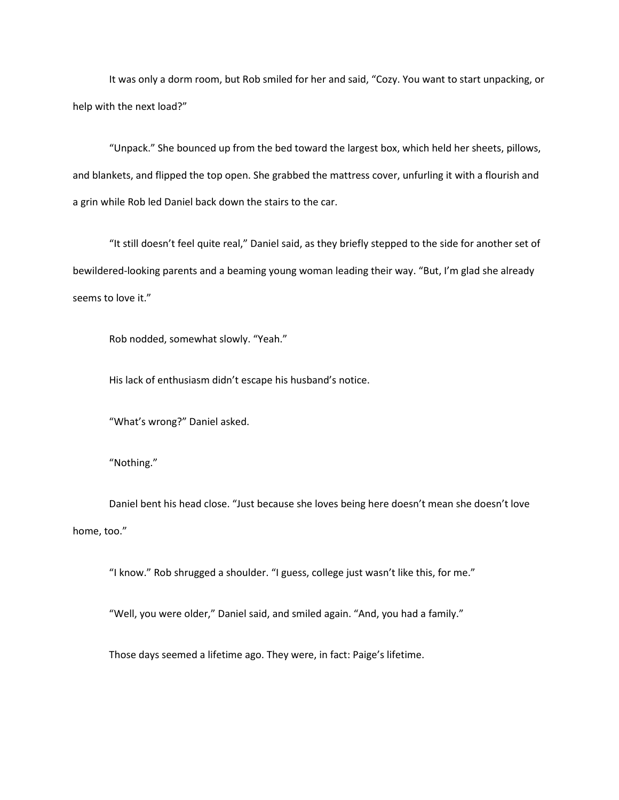It was only a dorm room, but Rob smiled for her and said, "Cozy. You want to start unpacking, or help with the next load?"

"Unpack." She bounced up from the bed toward the largest box, which held her sheets, pillows, and blankets, and flipped the top open. She grabbed the mattress cover, unfurling it with a flourish and a grin while Rob led Daniel back down the stairs to the car.

"It still doesn't feel quite real," Daniel said, as they briefly stepped to the side for another set of bewildered-looking parents and a beaming young woman leading their way. "But, I'm glad she already seems to love it."

Rob nodded, somewhat slowly. "Yeah."

His lack of enthusiasm didn't escape his husband's notice.

"What's wrong?" Daniel asked.

"Nothing."

Daniel bent his head close. "Just because she loves being here doesn't mean she doesn't love home, too."

"I know." Rob shrugged a shoulder. "I guess, college just wasn't like this, for me."

"Well, you were older," Daniel said, and smiled again. "And, you had a family."

Those days seemed a lifetime ago. They were, in fact: Paige's lifetime.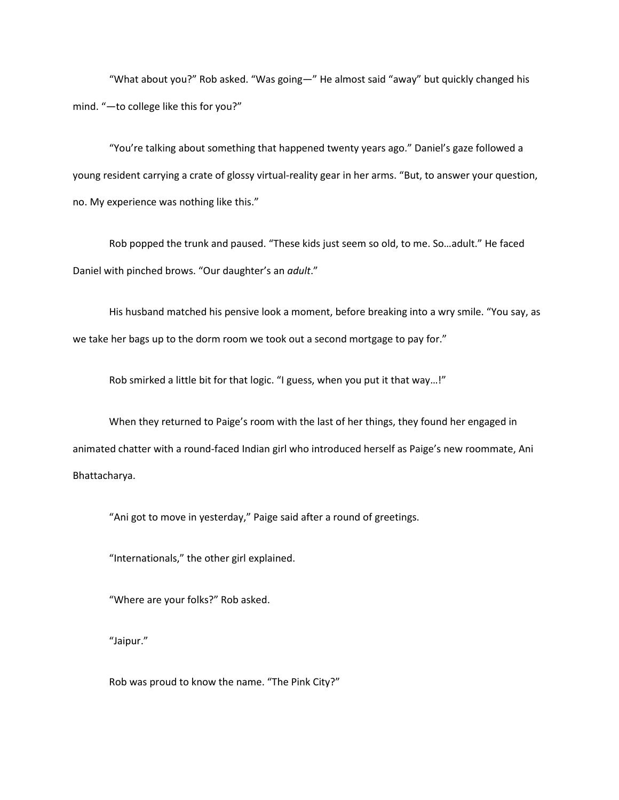"What about you?" Rob asked. "Was going—" He almost said "away" but quickly changed his mind. "—to college like this for you?"

"You're talking about something that happened twenty years ago." Daniel's gaze followed a young resident carrying a crate of glossy virtual-reality gear in her arms. "But, to answer your question, no. My experience was nothing like this."

Rob popped the trunk and paused. "These kids just seem so old, to me. So…adult." He faced Daniel with pinched brows. "Our daughter's an *adult*."

His husband matched his pensive look a moment, before breaking into a wry smile. "You say, as we take her bags up to the dorm room we took out a second mortgage to pay for."

Rob smirked a little bit for that logic. "I guess, when you put it that way…!"

When they returned to Paige's room with the last of her things, they found her engaged in animated chatter with a round-faced Indian girl who introduced herself as Paige's new roommate, Ani Bhattacharya.

"Ani got to move in yesterday," Paige said after a round of greetings.

"Internationals," the other girl explained.

"Where are your folks?" Rob asked.

"Jaipur."

Rob was proud to know the name. "The Pink City?"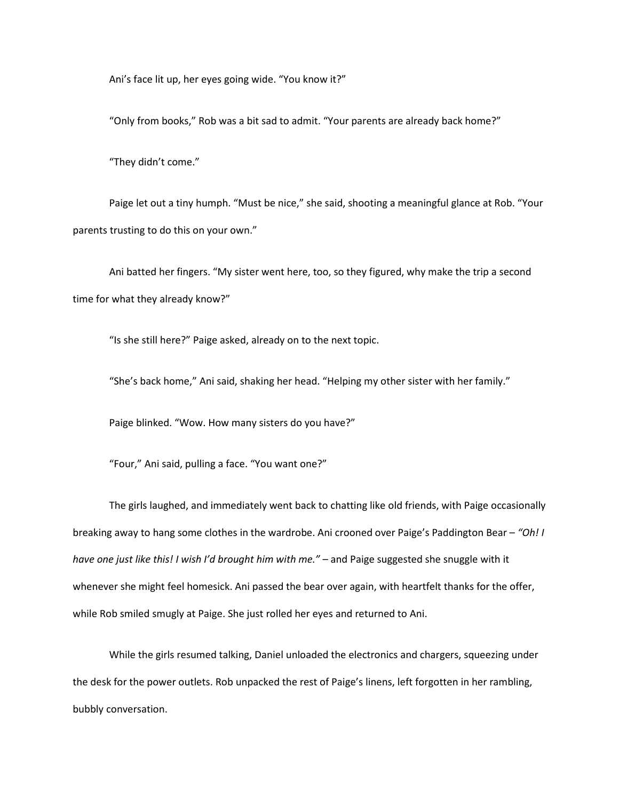Ani's face lit up, her eyes going wide. "You know it?"

"Only from books," Rob was a bit sad to admit. "Your parents are already back home?"

"They didn't come."

Paige let out a tiny humph. "Must be nice," she said, shooting a meaningful glance at Rob. "Your parents trusting to do this on your own."

Ani batted her fingers. "My sister went here, too, so they figured, why make the trip a second time for what they already know?"

"Is she still here?" Paige asked, already on to the next topic.

"She's back home," Ani said, shaking her head. "Helping my other sister with her family."

Paige blinked. "Wow. How many sisters do you have?"

"Four," Ani said, pulling a face. "You want one?"

The girls laughed, and immediately went back to chatting like old friends, with Paige occasionally breaking away to hang some clothes in the wardrobe. Ani crooned over Paige's Paddington Bear – *"Oh! I have one just like this! I wish I'd brought him with me."* – and Paige suggested she snuggle with it whenever she might feel homesick. Ani passed the bear over again, with heartfelt thanks for the offer, while Rob smiled smugly at Paige. She just rolled her eyes and returned to Ani.

While the girls resumed talking, Daniel unloaded the electronics and chargers, squeezing under the desk for the power outlets. Rob unpacked the rest of Paige's linens, left forgotten in her rambling, bubbly conversation.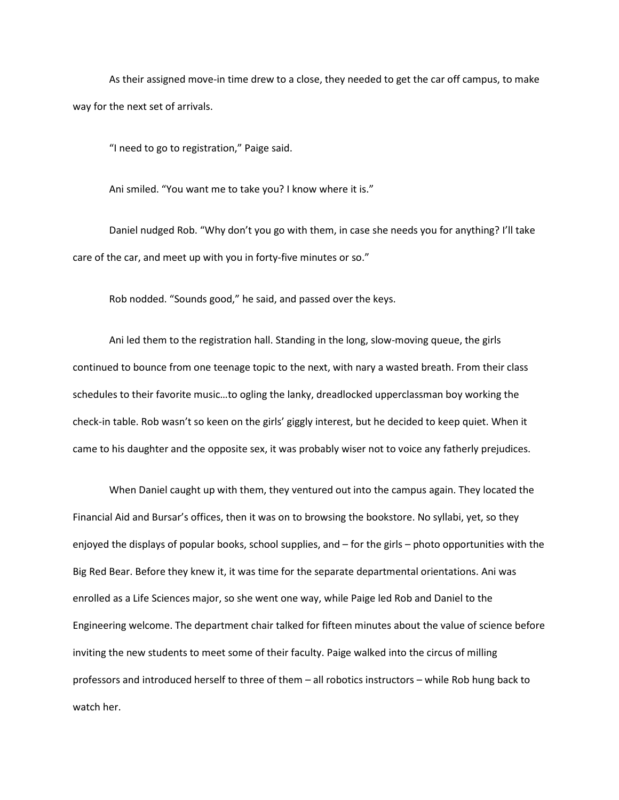As their assigned move-in time drew to a close, they needed to get the car off campus, to make way for the next set of arrivals.

"I need to go to registration," Paige said.

Ani smiled. "You want me to take you? I know where it is."

Daniel nudged Rob. "Why don't you go with them, in case she needs you for anything? I'll take care of the car, and meet up with you in forty-five minutes or so."

Rob nodded. "Sounds good," he said, and passed over the keys.

Ani led them to the registration hall. Standing in the long, slow-moving queue, the girls continued to bounce from one teenage topic to the next, with nary a wasted breath. From their class schedules to their favorite music…to ogling the lanky, dreadlocked upperclassman boy working the check-in table. Rob wasn't so keen on the girls' giggly interest, but he decided to keep quiet. When it came to his daughter and the opposite sex, it was probably wiser not to voice any fatherly prejudices.

When Daniel caught up with them, they ventured out into the campus again. They located the Financial Aid and Bursar's offices, then it was on to browsing the bookstore. No syllabi, yet, so they enjoyed the displays of popular books, school supplies, and – for the girls – photo opportunities with the Big Red Bear. Before they knew it, it was time for the separate departmental orientations. Ani was enrolled as a Life Sciences major, so she went one way, while Paige led Rob and Daniel to the Engineering welcome. The department chair talked for fifteen minutes about the value of science before inviting the new students to meet some of their faculty. Paige walked into the circus of milling professors and introduced herself to three of them – all robotics instructors – while Rob hung back to watch her.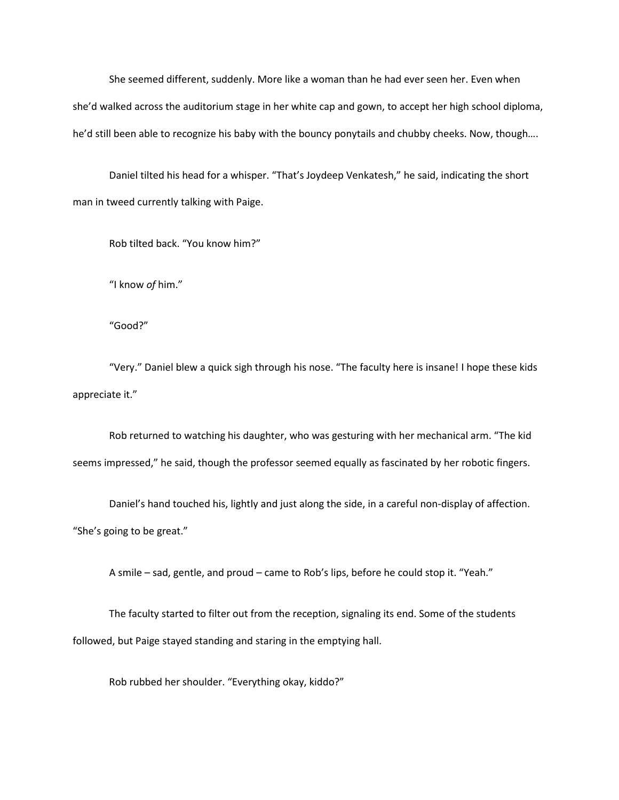She seemed different, suddenly. More like a woman than he had ever seen her. Even when she'd walked across the auditorium stage in her white cap and gown, to accept her high school diploma, he'd still been able to recognize his baby with the bouncy ponytails and chubby cheeks. Now, though….

Daniel tilted his head for a whisper. "That's Joydeep Venkatesh," he said, indicating the short man in tweed currently talking with Paige.

Rob tilted back. "You know him?"

"I know *of* him."

"Good?"

"Very." Daniel blew a quick sigh through his nose. "The faculty here is insane! I hope these kids appreciate it."

Rob returned to watching his daughter, who was gesturing with her mechanical arm. "The kid seems impressed," he said, though the professor seemed equally as fascinated by her robotic fingers.

Daniel's hand touched his, lightly and just along the side, in a careful non-display of affection. "She's going to be great."

A smile – sad, gentle, and proud – came to Rob's lips, before he could stop it. "Yeah."

The faculty started to filter out from the reception, signaling its end. Some of the students followed, but Paige stayed standing and staring in the emptying hall.

Rob rubbed her shoulder. "Everything okay, kiddo?"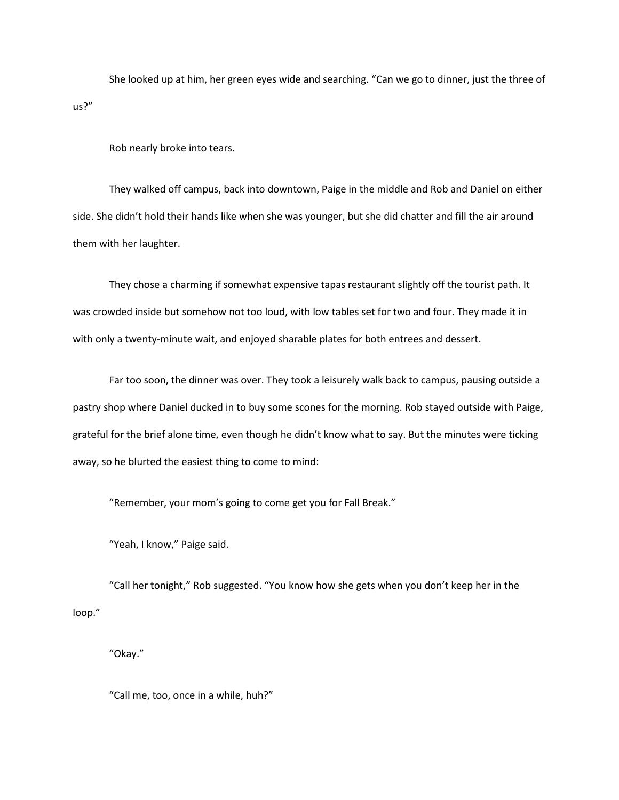She looked up at him, her green eyes wide and searching. "Can we go to dinner, just the three of us?"

Rob nearly broke into tears.

They walked off campus, back into downtown, Paige in the middle and Rob and Daniel on either side. She didn't hold their hands like when she was younger, but she did chatter and fill the air around them with her laughter.

They chose a charming if somewhat expensive tapas restaurant slightly off the tourist path. It was crowded inside but somehow not too loud, with low tables set for two and four. They made it in with only a twenty-minute wait, and enjoyed sharable plates for both entrees and dessert.

Far too soon, the dinner was over. They took a leisurely walk back to campus, pausing outside a pastry shop where Daniel ducked in to buy some scones for the morning. Rob stayed outside with Paige, grateful for the brief alone time, even though he didn't know what to say. But the minutes were ticking away, so he blurted the easiest thing to come to mind:

"Remember, your mom's going to come get you for Fall Break."

"Yeah, I know," Paige said.

"Call her tonight," Rob suggested. "You know how she gets when you don't keep her in the loop."

"Okay."

"Call me, too, once in a while, huh?"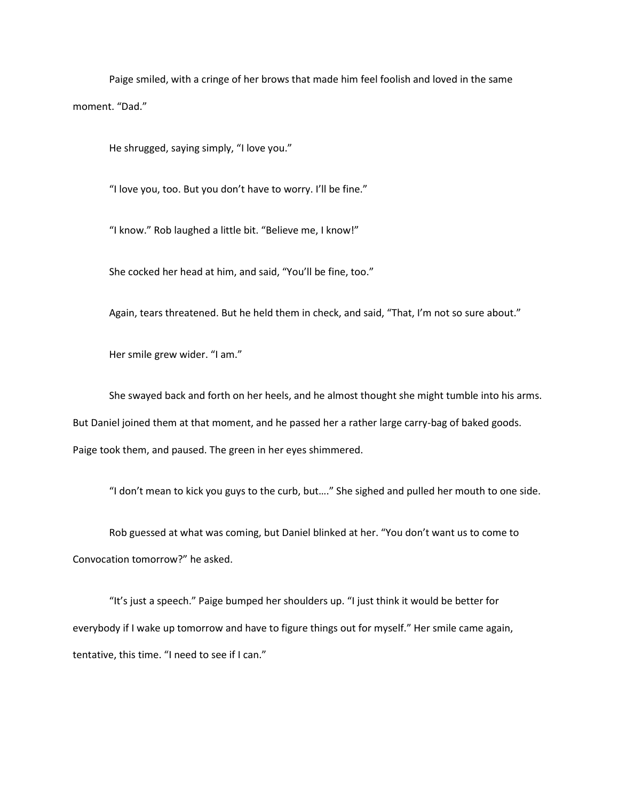Paige smiled, with a cringe of her brows that made him feel foolish and loved in the same moment. "Dad."

He shrugged, saying simply, "I love you."

"I love you, too. But you don't have to worry. I'll be fine."

"I know." Rob laughed a little bit. "Believe me, I know!"

She cocked her head at him, and said, "You'll be fine, too."

Again, tears threatened. But he held them in check, and said, "That, I'm not so sure about."

Her smile grew wider. "I am."

She swayed back and forth on her heels, and he almost thought she might tumble into his arms. But Daniel joined them at that moment, and he passed her a rather large carry-bag of baked goods. Paige took them, and paused. The green in her eyes shimmered.

"I don't mean to kick you guys to the curb, but…." She sighed and pulled her mouth to one side.

Rob guessed at what was coming, but Daniel blinked at her. "You don't want us to come to Convocation tomorrow?" he asked.

"It's just a speech." Paige bumped her shoulders up. "I just think it would be better for everybody if I wake up tomorrow and have to figure things out for myself." Her smile came again, tentative, this time. "I need to see if I can."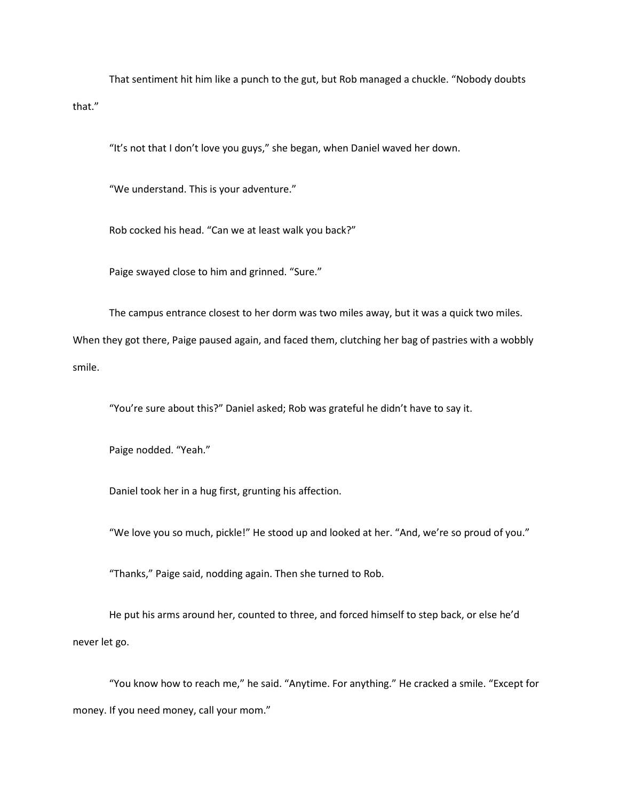That sentiment hit him like a punch to the gut, but Rob managed a chuckle. "Nobody doubts that."

"It's not that I don't love you guys," she began, when Daniel waved her down.

"We understand. This is your adventure."

Rob cocked his head. "Can we at least walk you back?"

Paige swayed close to him and grinned. "Sure."

The campus entrance closest to her dorm was two miles away, but it was a quick two miles. When they got there, Paige paused again, and faced them, clutching her bag of pastries with a wobbly smile.

"You're sure about this?" Daniel asked; Rob was grateful he didn't have to say it.

Paige nodded. "Yeah."

Daniel took her in a hug first, grunting his affection.

"We love you so much, pickle!" He stood up and looked at her. "And, we're so proud of you."

"Thanks," Paige said, nodding again. Then she turned to Rob.

He put his arms around her, counted to three, and forced himself to step back, or else he'd never let go.

"You know how to reach me," he said. "Anytime. For anything." He cracked a smile. "Except for money. If you need money, call your mom."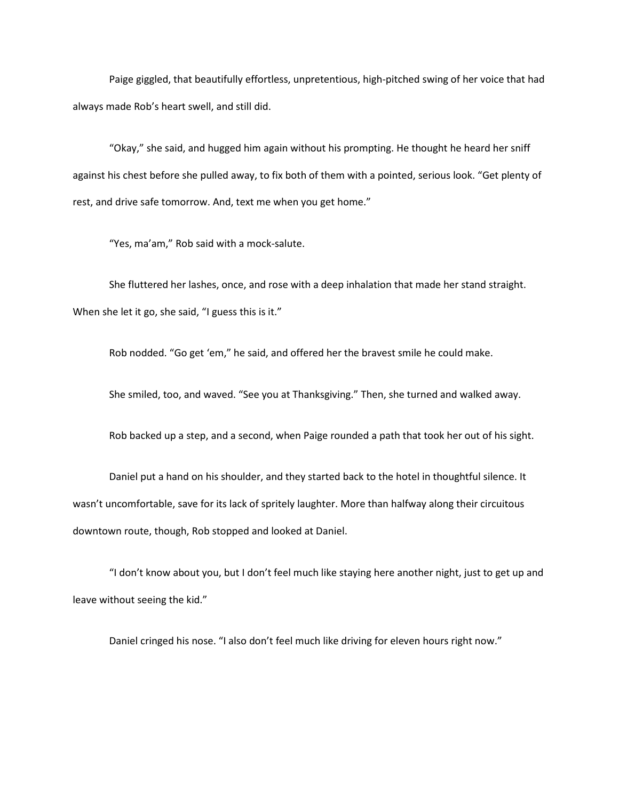Paige giggled, that beautifully effortless, unpretentious, high-pitched swing of her voice that had always made Rob's heart swell, and still did.

"Okay," she said, and hugged him again without his prompting. He thought he heard her sniff against his chest before she pulled away, to fix both of them with a pointed, serious look. "Get plenty of rest, and drive safe tomorrow. And, text me when you get home."

"Yes, ma'am," Rob said with a mock-salute.

She fluttered her lashes, once, and rose with a deep inhalation that made her stand straight. When she let it go, she said, "I guess this is it."

Rob nodded. "Go get 'em," he said, and offered her the bravest smile he could make.

She smiled, too, and waved. "See you at Thanksgiving." Then, she turned and walked away.

Rob backed up a step, and a second, when Paige rounded a path that took her out of his sight.

Daniel put a hand on his shoulder, and they started back to the hotel in thoughtful silence. It wasn't uncomfortable, save for its lack of spritely laughter. More than halfway along their circuitous downtown route, though, Rob stopped and looked at Daniel.

"I don't know about you, but I don't feel much like staying here another night, just to get up and leave without seeing the kid."

Daniel cringed his nose. "I also don't feel much like driving for eleven hours right now."